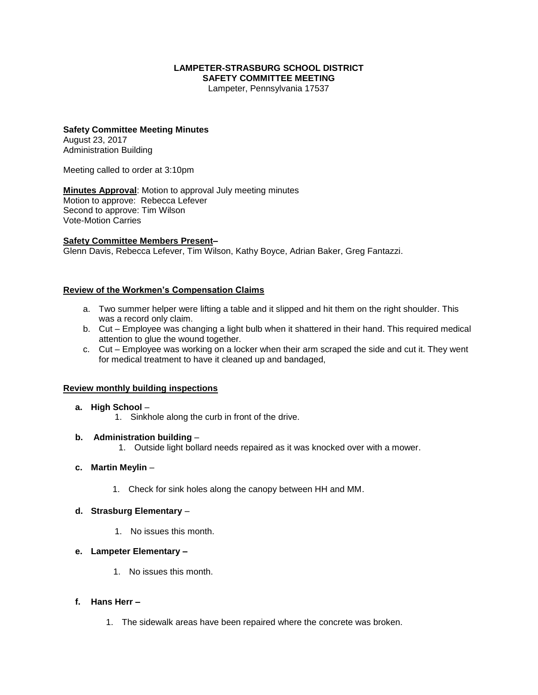#### **LAMPETER-STRASBURG SCHOOL DISTRICT SAFETY COMMITTEE MEETING**

Lampeter, Pennsylvania 17537

#### **Safety Committee Meeting Minutes** August 23, 2017

Administration Building

Meeting called to order at 3:10pm

**Minutes Approval**: Motion to approval July meeting minutes Motion to approve: Rebecca Lefever Second to approve: Tim Wilson Vote-Motion Carries

### **Safety Committee Members Present–**

Glenn Davis, Rebecca Lefever, Tim Wilson, Kathy Boyce, Adrian Baker, Greg Fantazzi.

## **Review of the Workmen's Compensation Claims**

- a. Two summer helper were lifting a table and it slipped and hit them on the right shoulder. This was a record only claim.
- b. Cut Employee was changing a light bulb when it shattered in their hand. This required medical attention to glue the wound together.
- c. Cut Employee was working on a locker when their arm scraped the side and cut it. They went for medical treatment to have it cleaned up and bandaged,

#### **Review monthly building inspections**

#### **a. High School** –

1. Sinkhole along the curb in front of the drive.

#### **b. Administration building** –

1. Outside light bollard needs repaired as it was knocked over with a mower.

#### **c. Martin Meylin** –

1. Check for sink holes along the canopy between HH and MM.

#### **d. Strasburg Elementary** –

1. No issues this month.

#### **e. Lampeter Elementary –**

1. No issues this month.

#### **f. Hans Herr –**

1. The sidewalk areas have been repaired where the concrete was broken.